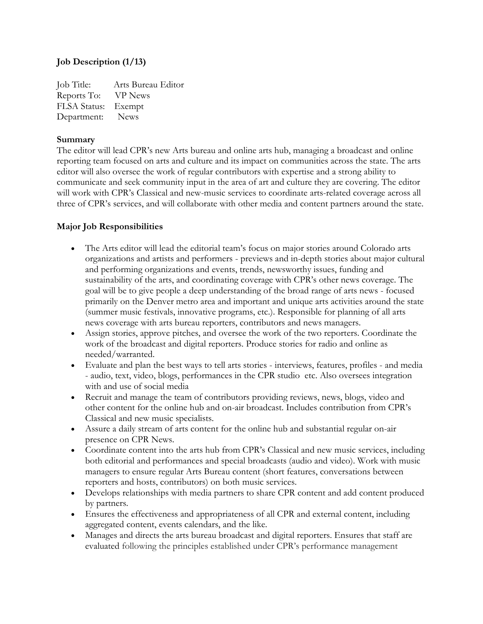### **Job Description (1/13)**

Job Title: Arts Bureau Editor Reports To: VP News FLSA Status: Exempt Department: News

#### **Summary**

The editor will lead CPR's new Arts bureau and online arts hub, managing a broadcast and online reporting team focused on arts and culture and its impact on communities across the state. The arts editor will also oversee the work of regular contributors with expertise and a strong ability to communicate and seek community input in the area of art and culture they are covering. The editor will work with CPR's Classical and new-music services to coordinate arts-related coverage across all three of CPR's services, and will collaborate with other media and content partners around the state.

### **Major Job Responsibilities**

- The Arts editor will lead the editorial team's focus on major stories around Colorado arts organizations and artists and performers - previews and in-depth stories about major cultural and performing organizations and events, trends, newsworthy issues, funding and sustainability of the arts, and coordinating coverage with CPR's other news coverage. The goal will be to give people a deep understanding of the broad range of arts news - focused primarily on the Denver metro area and important and unique arts activities around the state (summer music festivals, innovative programs, etc.). Responsible for planning of all arts news coverage with arts bureau reporters, contributors and news managers.
- Assign stories, approve pitches, and oversee the work of the two reporters. Coordinate the work of the broadcast and digital reporters. Produce stories for radio and online as needed/warranted.
- Evaluate and plan the best ways to tell arts stories interviews, features, profiles and media - audio, text, video, blogs, performances in the CPR studio etc. Also oversees integration with and use of social media
- Recruit and manage the team of contributors providing reviews, news, blogs, video and other content for the online hub and on-air broadcast. Includes contribution from CPR's Classical and new music specialists.
- Assure a daily stream of arts content for the online hub and substantial regular on-air presence on CPR News.
- Coordinate content into the arts hub from CPR's Classical and new music services, including both editorial and performances and special broadcasts (audio and video). Work with music managers to ensure regular Arts Bureau content (short features, conversations between reporters and hosts, contributors) on both music services.
- Develops relationships with media partners to share CPR content and add content produced by partners.
- Ensures the effectiveness and appropriateness of all CPR and external content, including aggregated content, events calendars, and the like.
- Manages and directs the arts bureau broadcast and digital reporters. Ensures that staff are evaluated following the principles established under CPR's performance management